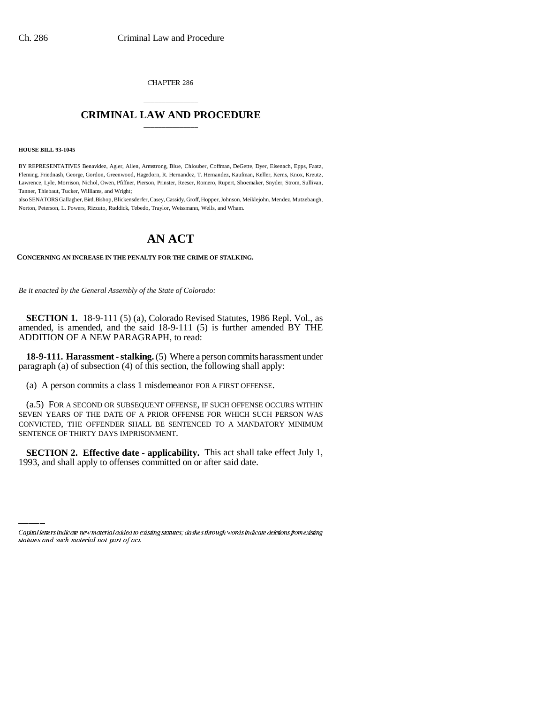CHAPTER 286

## \_\_\_\_\_\_\_\_\_\_\_\_\_\_\_ **CRIMINAL LAW AND PROCEDURE** \_\_\_\_\_\_\_\_\_\_\_\_\_\_\_

**HOUSE BILL 93-1045**

BY REPRESENTATIVES Benavidez, Agler, Allen, Armstrong, Blue, Chlouber, Coffman, DeGette, Dyer, Eisenach, Epps, Faatz, Fleming, Friednash, George, Gordon, Greenwood, Hagedorn, R. Hernandez, T. Hernandez, Kaufman, Keller, Kerns, Knox, Kreutz, Lawrence, Lyle, Morrison, Nichol, Owen, Pfiffner, Pierson, Prinster, Reeser, Romero, Rupert, Shoemaker, Snyder, Strom, Sullivan, Tanner, Thiebaut, Tucker, Williams, and Wright;

also SENATORS Gallagher, Bird, Bishop, Blickensderfer, Casey, Cassidy, Groff, Hopper, Johnson, Meiklejohn, Mendez, Mutzebaugh, Norton, Peterson, L. Powers, Rizzuto, Ruddick, Tebedo, Traylor, Weissmann, Wells, and Wham.

## **AN ACT**

**CONCERNING AN INCREASE IN THE PENALTY FOR THE CRIME OF STALKING.**

*Be it enacted by the General Assembly of the State of Colorado:*

**SECTION 1.** 18-9-111 (5) (a), Colorado Revised Statutes, 1986 Repl. Vol., as amended, is amended, and the said 18-9-111 (5) is further amended BY THE ADDITION OF A NEW PARAGRAPH, to read:

**18-9-111. Harassment - stalking.** (5) Where a person commits harassment under paragraph (a) of subsection (4) of this section, the following shall apply:

(a) A person commits a class 1 misdemeanor FOR A FIRST OFFENSE.

(a.5) FOR A SECOND OR SUBSEQUENT OFFENSE, IF SUCH OFFENSE OCCURS WITHIN SEVEN YEARS OF THE DATE OF A PRIOR OFFENSE FOR WHICH SUCH PERSON WAS CONVICTED, THE OFFENDER SHALL BE SENTENCED TO A MANDATORY MINIMUM SENTENCE OF THIRTY DAYS IMPRISONMENT.

**EXALLION 2. EXECTION 4. EXALLE APPLY EXALLE APPLY** 1993, and shall apply to offenses committed on or after said date. **SECTION 2. Effective date - applicability.** This act shall take effect July 1,

Capital letters indicate new material added to existing statutes; dashes through words indicate deletions from existing statutes and such material not part of act.